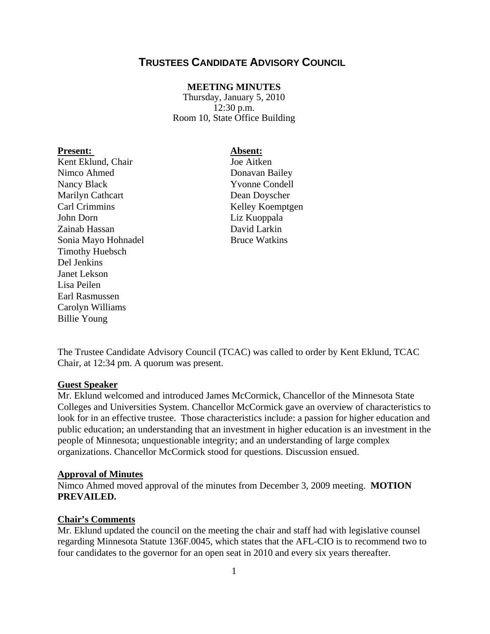# **TRUSTEES CANDIDATE ADVISORY COUNCIL**

### **MEETING MINUTES**

Thursday, January 5, 2010 12:30 p.m. Room 10, State Office Building

### Present: Absent:

Kent Eklund, Chair **Joe Aitken** Nimco Ahmed Donavan Bailey Nancy Black Yvonne Condell Marilyn Cathcart Dean Doyscher Carl Crimmins Kelley Koemptgen John Dorn Liz Kuoppala Zainab Hassan David Larkin Sonia Mayo Hohnadel Bruce Watkins Timothy Huebsch Del Jenkins Janet Lekson Lisa Peilen Earl Rasmussen Carolyn Williams Billie Young

The Trustee Candidate Advisory Council (TCAC) was called to order by Kent Eklund, TCAC Chair, at 12:34 pm. A quorum was present.

#### **Guest Speaker**

Mr. Eklund welcomed and introduced James McCormick, Chancellor of the Minnesota State Colleges and Universities System. Chancellor McCormick gave an overview of characteristics to look for in an effective trustee. Those characteristics include: a passion for higher education and public education; an understanding that an investment in higher education is an investment in the people of Minnesota; unquestionable integrity; and an understanding of large complex organizations. Chancellor McCormick stood for questions. Discussion ensued.

#### **Approval of Minutes**

Nimco Ahmed moved approval of the minutes from December 3, 2009 meeting. **MOTION PREVAILED.**

### **Chair's Comments**

Mr. Eklund updated the council on the meeting the chair and staff had with legislative counsel regarding Minnesota Statute 136F.0045, which states that the AFL-CIO is to recommend two to four candidates to the governor for an open seat in 2010 and every six years thereafter.